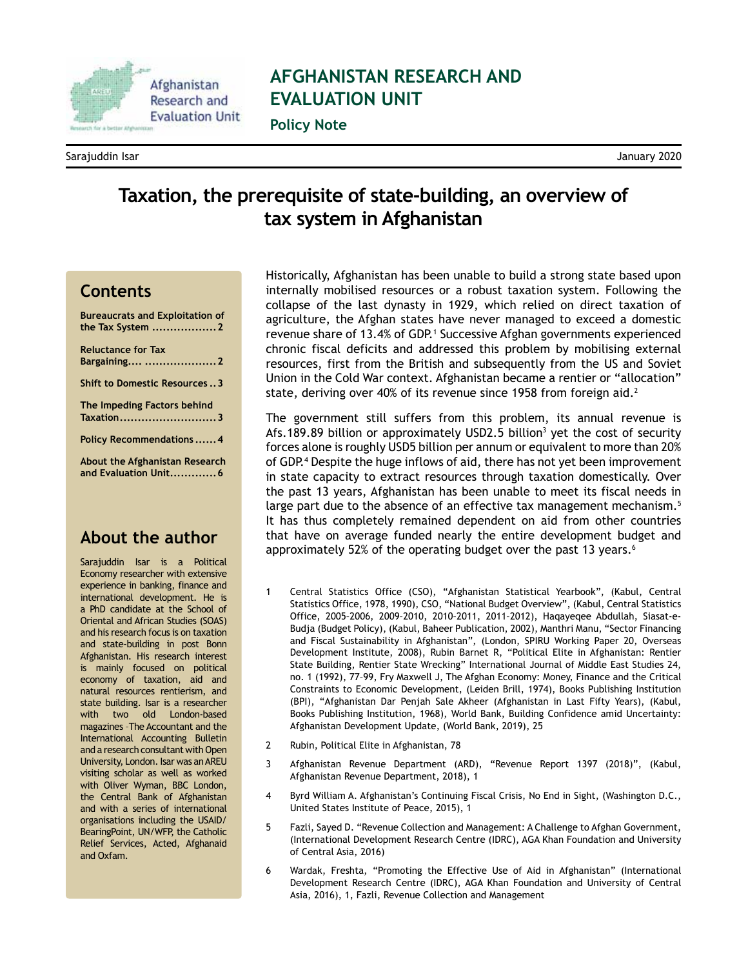

# **AFGHANISTAN RESEARCH AND EVALUATION UNIT**

**Policy Note**

Sarajuddin Isar January 2020

## **Taxation, the prerequisite of state-building, an overview of tax system in Afghanistan**

#### **Contents**

**[Bureaucrats and Exploitation of](#page-1-0)  the Tax System [..................2](#page-1-0) [Reluctance for Tax](#page-1-0)  Bargaining.... [....................2](#page-1-0) [Shift to Domestic Resources](#page-2-0) ..3**

**[The Impeding Factors behind](#page-2-0)  [Taxation...........................3](#page-2-0)**

**[Policy Recommendations](#page-3-0) ......4**

**[About the Afghanistan Research](#page-5-0)  [and Evaluation Unit.............6](#page-5-0)**

#### **About the author**

Sarajuddin Isar is a Political Economy researcher with extensive experience in banking, finance and international development. He is a PhD candidate at the School of Oriental and African Studies (SOAS) and his research focus is on taxation and state-building in post Bonn Afghanistan. His research interest is mainly focused on political economy of taxation, aid and natural resources rentierism, and state building. Isar is a researcher with two old London-based magazines –The Accountant and the International Accounting Bulletin and a research consultant with Open University, London. Isar was an AREU visiting scholar as well as worked with Oliver Wyman, BBC London, the Central Bank of Afghanistan and with a series of international organisations including the USAID/ BearingPoint, UN/WFP, the Catholic Relief Services, Acted, Afghanaid and Oxfam.

Historically, Afghanistan has been unable to build a strong state based upon internally mobilised resources or a robust taxation system. Following the collapse of the last dynasty in 1929, which relied on direct taxation of agriculture, the Afghan states have never managed to exceed a domestic revenue share of 13.4% of GDP.<sup>1</sup> Successive Afghan governments experienced chronic fiscal deficits and addressed this problem by mobilising external resources, first from the British and subsequently from the US and Soviet Union in the Cold War context. Afghanistan became a rentier or "allocation" state, deriving over 40% of its revenue since 1958 from foreign aid.<sup>2</sup>

The government still suffers from this problem, its annual revenue is Afs.189.89 billion or approximately USD2.5 billion<sup>3</sup> yet the cost of security forces alone is roughly USD5 billion per annum or equivalent to more than 20% of GDP.4 Despite the huge inflows of aid, there has not yet been improvement in state capacity to extract resources through taxation domestically. Over the past 13 years, Afghanistan has been unable to meet its fiscal needs in large part due to the absence of an effective tax management mechanism.<sup>5</sup> It has thus completely remained dependent on aid from other countries that have on average funded nearly the entire development budget and approximately 52% of the operating budget over the past 13 years.<sup>6</sup>

- 1 Central Statistics Office (CSO), "Afghanistan Statistical Yearbook", (Kabul, Central Statistics Office, 1978, 1990), CSO, "National Budget Overview", (Kabul, Central Statistics Office, 2005–2006, 2009–2010, 2010–2011, 2011–2012), Haqayeqee Abdullah, Siasat-e-Budja (Budget Policy), (Kabul, Baheer Publication, 2002), Manthri Manu, "Sector Financing and Fiscal Sustainability in Afghanistan", (London, SPIRU Working Paper 20, Overseas Development Institute, 2008), Rubin Barnet R, "Political Elite in Afghanistan: Rentier State Building, Rentier State Wrecking" International Journal of Middle East Studies 24, no. 1 (1992), 77–99, Fry Maxwell J, The Afghan Economy: Money, Finance and the Critical Constraints to Economic Development, (Leiden Brill, 1974), Books Publishing Institution (BPI), "Afghanistan Dar Penjah Sale Akheer (Afghanistan in Last Fifty Years), (Kabul, Books Publishing Institution, 1968), World Bank, Building Confidence amid Uncertainty: Afghanistan Development Update, (World Bank, 2019), 25
- 2 Rubin, Political Elite in Afghanistan, 78
- 3 Afghanistan Revenue Department (ARD), "Revenue Report 1397 (2018)", (Kabul, Afghanistan Revenue Department, 2018), 1
- 4 Byrd William A. Afghanistan's Continuing Fiscal Crisis, No End in Sight, (Washington D.C., United States Institute of Peace, 2015), 1
- 5 Fazli, Sayed D. "Revenue Collection and Management: A Challenge to Afghan Government, (International Development Research Centre (IDRC), AGA Khan Foundation and University of Central Asia, 2016)
- 6 Wardak, Freshta, "Promoting the Effective Use of Aid in Afghanistan" (International Development Research Centre (IDRC), AGA Khan Foundation and University of Central Asia, 2016), 1, Fazli, Revenue Collection and Management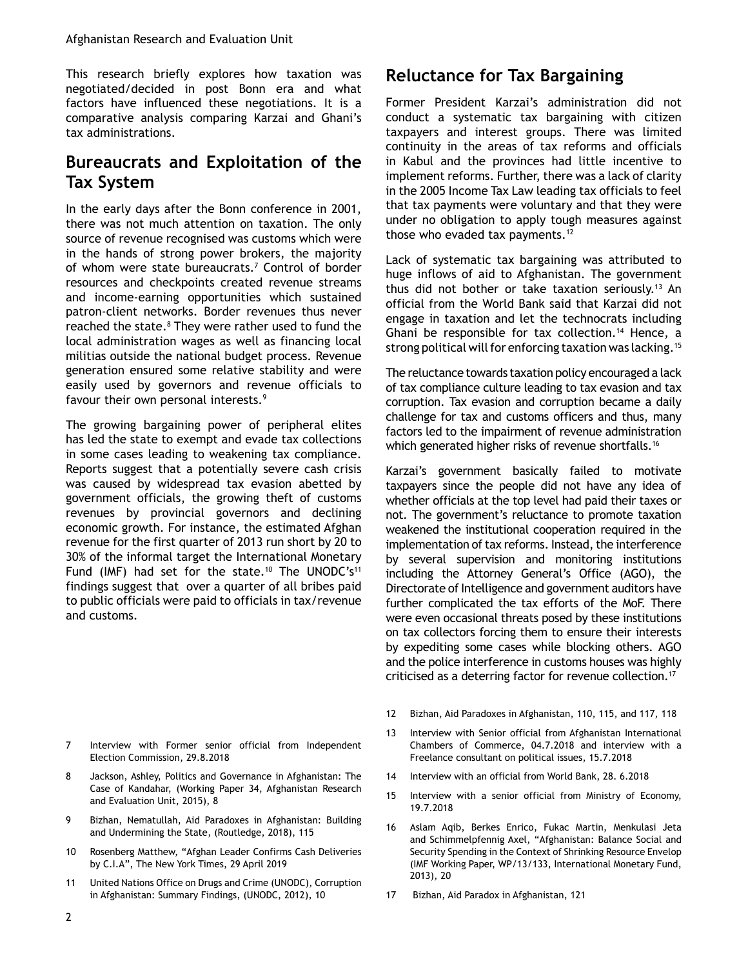<span id="page-1-0"></span>This research briefly explores how taxation was negotiated/decided in post Bonn era and what factors have influenced these negotiations. It is a comparative analysis comparing Karzai and Ghani's tax administrations.

### **Bureaucrats and Exploitation of the Tax System**

In the early days after the Bonn conference in 2001, there was not much attention on taxation. The only source of revenue recognised was customs which were in the hands of strong power brokers, the majority of whom were state bureaucrats.<sup>7</sup> Control of border resources and checkpoints created revenue streams and income-earning opportunities which sustained patron-client networks. Border revenues thus never reached the state.<sup>8</sup> They were rather used to fund the local administration wages as well as financing local militias outside the national budget process. Revenue generation ensured some relative stability and were easily used by governors and revenue officials to favour their own personal interests.<sup>9</sup>

The growing bargaining power of peripheral elites has led the state to exempt and evade tax collections in some cases leading to weakening tax compliance. Reports suggest that a potentially severe cash crisis was caused by widespread tax evasion abetted by government officials, the growing theft of customs revenues by provincial governors and declining economic growth. For instance, the estimated Afghan revenue for the first quarter of 2013 run short by 20 to 30% of the informal target the International Monetary Fund (IMF) had set for the state.<sup>10</sup> The UNODC's<sup>11</sup> findings suggest that over a quarter of all bribes paid to public officials were paid to officials in tax/revenue and customs.

- 7 Interview with Former senior official from Independent Election Commission, 29.8.2018
- 8 Jackson, Ashley, Politics and Governance in Afghanistan: The Case of Kandahar, (Working Paper 34, Afghanistan Research and Evaluation Unit, 2015), 8
- 9 Bizhan, Nematullah, Aid Paradoxes in Afghanistan: Building and Undermining the State, (Routledge, 2018), 115
- 10 Rosenberg Matthew, "Afghan Leader Confirms Cash Deliveries by C.I.A", The New York Times, 29 April 2019
- 11 United Nations Office on Drugs and Crime (UNODC), Corruption in Afghanistan: Summary Findings, (UNODC, 2012), 10

### **Reluctance for Tax Bargaining**

Former President Karzai's administration did not conduct a systematic tax bargaining with citizen taxpayers and interest groups. There was limited continuity in the areas of tax reforms and officials in Kabul and the provinces had little incentive to implement reforms. Further, there was a lack of clarity in the 2005 Income Tax Law leading tax officials to feel that tax payments were voluntary and that they were under no obligation to apply tough measures against those who evaded tax payments.<sup>12</sup>

Lack of systematic tax bargaining was attributed to huge inflows of aid to Afghanistan. The government thus did not bother or take taxation seriously.<sup>13</sup> An official from the World Bank said that Karzai did not engage in taxation and let the technocrats including Ghani be responsible for tax collection.<sup>14</sup> Hence, a strong political will for enforcing taxation was lacking.<sup>15</sup>

The reluctance towards taxation policy encouraged a lack of tax compliance culture leading to tax evasion and tax corruption. Tax evasion and corruption became a daily challenge for tax and customs officers and thus, many factors led to the impairment of revenue administration which generated higher risks of revenue shortfalls.<sup>16</sup>

Karzai's government basically failed to motivate taxpayers since the people did not have any idea of whether officials at the top level had paid their taxes or not. The government's reluctance to promote taxation weakened the institutional cooperation required in the implementation of tax reforms. Instead, the interference by several supervision and monitoring institutions including the Attorney General's Office (AGO), the Directorate of Intelligence and government auditors have further complicated the tax efforts of the MoF. There were even occasional threats posed by these institutions on tax collectors forcing them to ensure their interests by expediting some cases while blocking others. AGO and the police interference in customs houses was highly criticised as a deterring factor for revenue collection.17

- 12 Bizhan, Aid Paradoxes in Afghanistan, 110, 115, and 117, 118
- 13 Interview with Senior official from Afghanistan International Chambers of Commerce, 04.7.2018 and interview with a Freelance consultant on political issues, 15.7.2018
- 14 Interview with an official from World Bank, 28. 6.2018
- 15 Interview with a senior official from Ministry of Economy, 19.7.2018
- 16 Aslam Aqib, Berkes Enrico, Fukac Martin, Menkulasi Jeta and Schimmelpfennig Axel, "Afghanistan: Balance Social and Security Spending in the Context of Shrinking Resource Envelop (IMF Working Paper, WP/13/133, International Monetary Fund, 2013), 20
- 17 Bizhan, Aid Paradox in Afghanistan, 121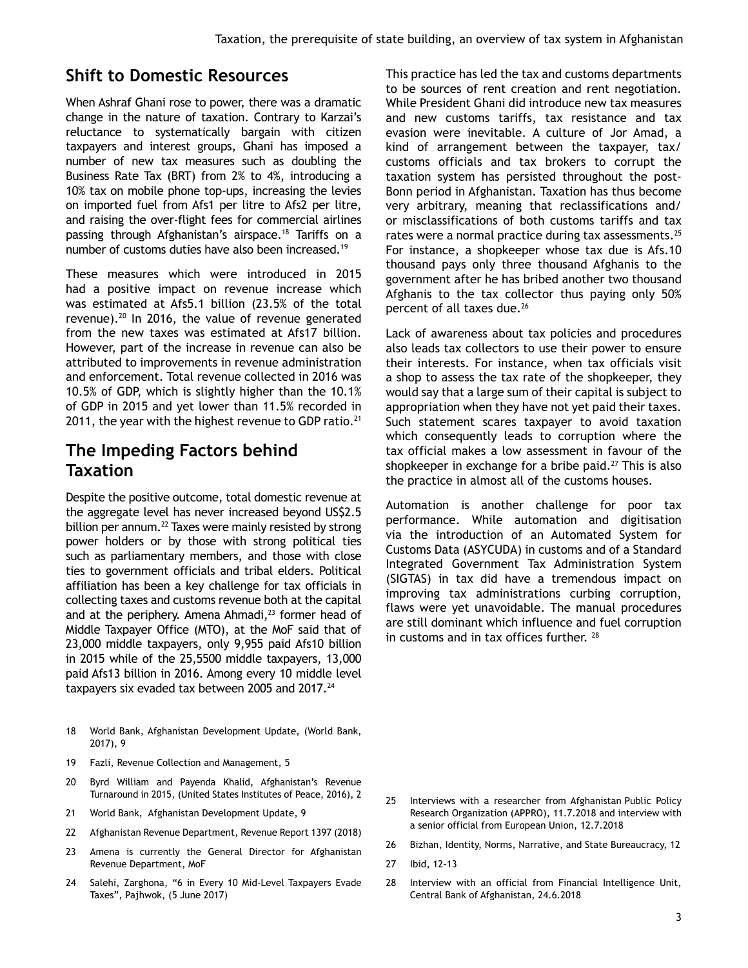#### <span id="page-2-0"></span>**Shift to Domestic Resources**

When Ashraf Ghani rose to power, there was a dramatic change in the nature of taxation. Contrary to Karzai's reluctance to systematically bargain with citizen taxpayers and interest groups, Ghani has imposed a number of new tax measures such as doubling the Business Rate Tax (BRT) from 2% to 4%, introducing a 10% tax on mobile phone top-ups, increasing the levies on imported fuel from Afs1 per litre to Afs2 per litre, and raising the over-flight fees for commercial airlines passing through Afghanistan's airspace.<sup>18</sup> Tariffs on a number of customs duties have also been increased.19

These measures which were introduced in 2015 had a positive impact on revenue increase which was estimated at Afs5.1 billion (23.5% of the total revenue).20 In 2016, the value of revenue generated from the new taxes was estimated at Afs17 billion. However, part of the increase in revenue can also be attributed to improvements in revenue administration and enforcement. Total revenue collected in 2016 was 10.5% of GDP, which is slightly higher than the 10.1% of GDP in 2015 and yet lower than 11.5% recorded in 2011, the year with the highest revenue to GDP ratio. $21$ 

#### **The Impeding Factors behind Taxation**

Despite the positive outcome, total domestic revenue at the aggregate level has never increased beyond US\$2.5 billion per annum.<sup>22</sup> Taxes were mainly resisted by strong power holders or by those with strong political ties such as parliamentary members, and those with close ties to government officials and tribal elders. Political affiliation has been a key challenge for tax officials in collecting taxes and customs revenue both at the capital and at the periphery. Amena Ahmadi, $^{23}$  former head of Middle Taxpayer Office (MTO), at the MoF said that of 23,000 middle taxpayers, only 9,955 paid Afs10 billion in 2015 while of the 25,5500 middle taxpayers, 13,000 paid Afs13 billion in 2016. Among every 10 middle level taxpayers six evaded tax between 2005 and 2017.<sup>24</sup>

- 18 World Bank, Afghanistan Development Update, (World Bank, 2017), 9
- 19 Fazli, Revenue Collection and Management, 5
- 20 Byrd William and Payenda Khalid, Afghanistan's Revenue Turnaround in 2015, (United States Institutes of Peace, 2016), 2
- 21 World Bank, Afghanistan Development Update, 9
- 22 Afghanistan Revenue Department, Revenue Report 1397 (2018)
- 23 Amena is currently the General Director for Afghanistan Revenue Department, MoF
- 24 Salehi, Zarghona, "6 in Every 10 Mid-Level Taxpayers Evade Taxes", Pajhwok, (5 June 2017)

This practice has led the tax and customs departments to be sources of rent creation and rent negotiation. While President Ghani did introduce new tax measures and new customs tariffs, tax resistance and tax evasion were inevitable. A culture of Jor Amad, a kind of arrangement between the taxpayer, tax/ customs officials and tax brokers to corrupt the taxation system has persisted throughout the post-Bonn period in Afghanistan. Taxation has thus become very arbitrary, meaning that reclassifications and/ or misclassifications of both customs tariffs and tax rates were a normal practice during tax assessments.<sup>25</sup> For instance, a shopkeeper whose tax due is Afs.10 thousand pays only three thousand Afghanis to the government after he has bribed another two thousand Afghanis to the tax collector thus paying only 50% percent of all taxes due.<sup>26</sup>

Lack of awareness about tax policies and procedures also leads tax collectors to use their power to ensure their interests. For instance, when tax officials visit a shop to assess the tax rate of the shopkeeper, they would say that a large sum of their capital is subject to appropriation when they have not yet paid their taxes. Such statement scares taxpayer to avoid taxation which consequently leads to corruption where the tax official makes a low assessment in favour of the shopkeeper in exchange for a bribe paid. $27$  This is also the practice in almost all of the customs houses.

Automation is another challenge for poor tax performance. While automation and digitisation via the introduction of an Automated System for Customs Data (ASYCUDA) in customs and of a Standard Integrated Government Tax Administration System (SIGTAS) in tax did have a tremendous impact on improving tax administrations curbing corruption, flaws were yet unavoidable. The manual procedures are still dominant which influence and fuel corruption in customs and in tax offices further. <sup>28</sup>

- 25 Interviews with a researcher from Afghanistan Public Policy Research Organization (APPRO), 11.7.2018 and interview with a senior official from European Union, 12.7.2018
- 26 Bizhan, Identity, Norms, Narrative, and State Bureaucracy, 12
- 27 Ibid, 12-13
- 28 Interview with an official from Financial Intelligence Unit, Central Bank of Afghanistan, 24.6.2018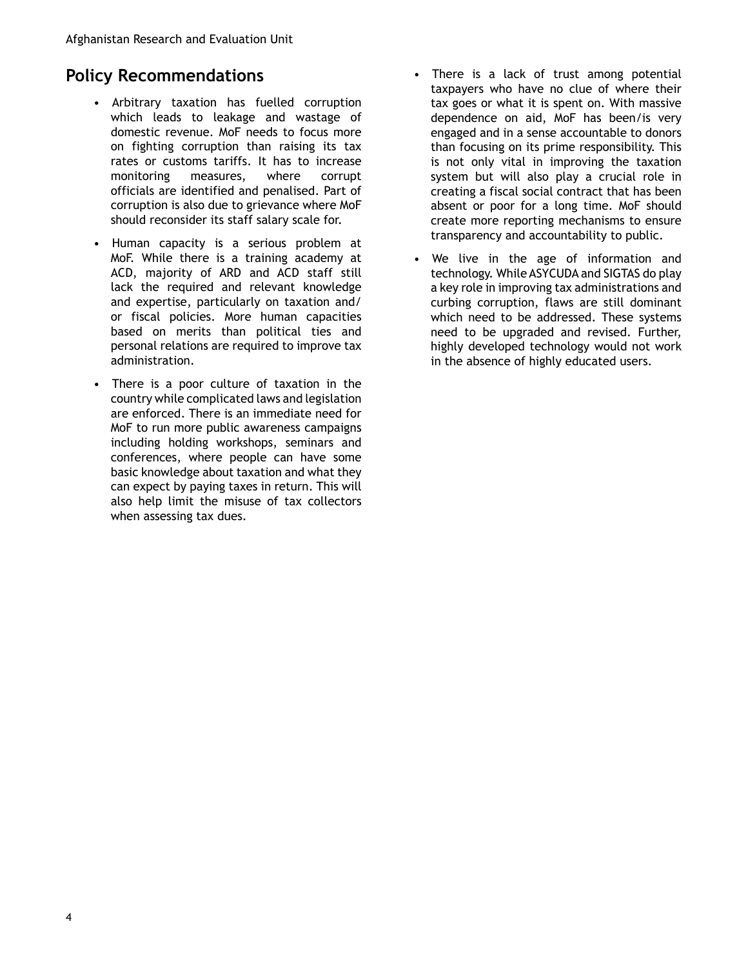### <span id="page-3-0"></span>**Policy Recommendations**

- Arbitrary taxation has fuelled corruption which leads to leakage and wastage of domestic revenue. MoF needs to focus more on fighting corruption than raising its tax rates or customs tariffs. It has to increase monitoring measures, where corrupt officials are identified and penalised. Part of corruption is also due to grievance where MoF should reconsider its staff salary scale for.
- Human capacity is a serious problem at MoF. While there is a training academy at ACD, majority of ARD and ACD staff still lack the required and relevant knowledge and expertise, particularly on taxation and/ or fiscal policies. More human capacities based on merits than political ties and personal relations are required to improve tax administration.
- There is a poor culture of taxation in the country while complicated laws and legislation are enforced. There is an immediate need for MoF to run more public awareness campaigns including holding workshops, seminars and conferences, where people can have some basic knowledge about taxation and what they can expect by paying taxes in return. This will also help limit the misuse of tax collectors when assessing tax dues.
- There is a lack of trust among potential taxpayers who have no clue of where their tax goes or what it is spent on. With massive dependence on aid, MoF has been/is very engaged and in a sense accountable to donors than focusing on its prime responsibility. This is not only vital in improving the taxation system but will also play a crucial role in creating a fiscal social contract that has been absent or poor for a long time. MoF should create more reporting mechanisms to ensure transparency and accountability to public.
- We live in the age of information and technology. While ASYCUDA and SIGTAS do play a key role in improving tax administrations and curbing corruption, flaws are still dominant which need to be addressed. These systems need to be upgraded and revised. Further, highly developed technology would not work in the absence of highly educated users.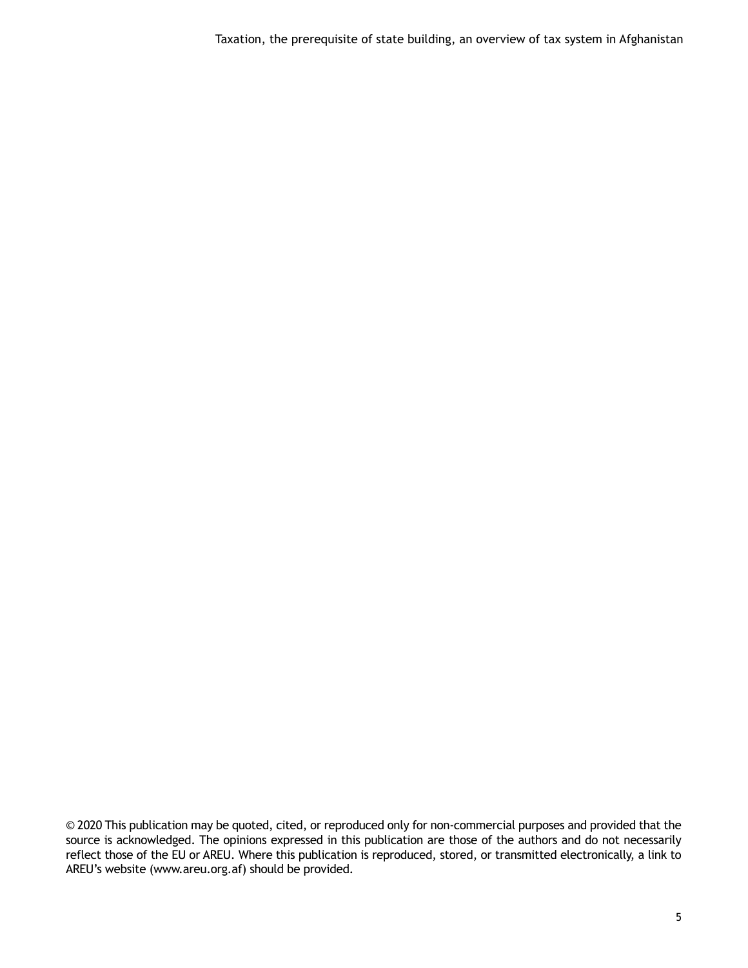Taxation, the prerequisite of state building, an overview of tax system in Afghanistan

© 2020 This publication may be quoted, cited, or reproduced only for non-commercial purposes and provided that the source is acknowledged. The opinions expressed in this publication are those of the authors and do not necessarily reflect those of the EU or AREU. Where this publication is reproduced, stored, or transmitted electronically, a link to AREU's website (www.areu.org.af) should be provided.